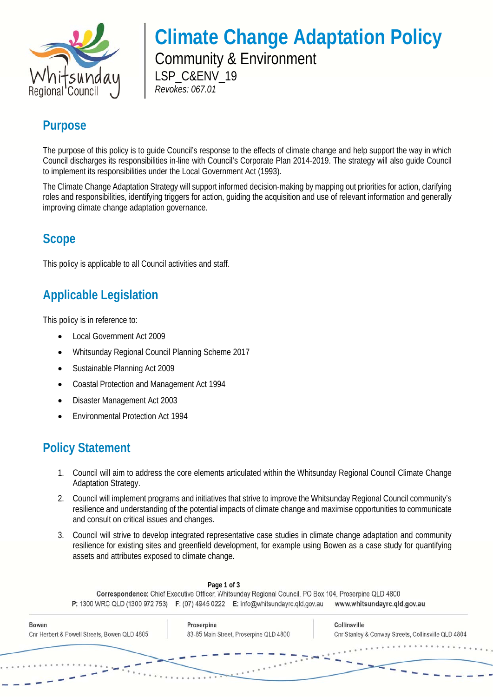

# **Climate Change Adaptation Policy**

Community & Environment LSP\_C&ENV\_19 *Revokes: 067.01* 

### **Purpose**

The purpose of this policy is to guide Council's response to the effects of climate change and help support the way in which Council discharges its responsibilities in-line with Council's Corporate Plan 2014-2019. The strategy will also guide Council to implement its responsibilities under the Local Government Act (1993).

The Climate Change Adaptation Strategy will support informed decision-making by mapping out priorities for action, clarifying roles and responsibilities, identifying triggers for action, guiding the acquisition and use of relevant information and generally improving climate change adaptation governance.

### **Scope**

This policy is applicable to all Council activities and staff.

### **Applicable Legislation**

This policy is in reference to:

- Local Government Act 2009
- Whitsunday Regional Council Planning Scheme 2017
- Sustainable Planning Act 2009
- Coastal Protection and Management Act 1994
- Disaster Management Act 2003
- Environmental Protection Act 1994

### **Policy Statement**

- 1. Council will aim to address the core elements articulated within the Whitsunday Regional Council Climate Change Adaptation Strategy.
- 2. Council will implement programs and initiatives that strive to improve the Whitsunday Regional Council community's resilience and understanding of the potential impacts of climate change and maximise opportunities to communicate and consult on critical issues and changes.
- 3. Council will strive to develop integrated representative case studies in climate change adaptation and community resilience for existing sites and greenfield development, for example using Bowen as a case study for quantifying assets and attributes exposed to climate change.

| P: 1300 WRC QLD (1300 972 753) F: (07) 4945 0222 E: info@whitsundayrc.qld.gov.au |                                        | Correspondence: Chief Executive Officer, Whitsunday Regional Council, PO Box 104, Proserpine QLD 4800 | www.whitsundayrc.qld.gov.au                         |
|----------------------------------------------------------------------------------|----------------------------------------|-------------------------------------------------------------------------------------------------------|-----------------------------------------------------|
|                                                                                  |                                        |                                                                                                       |                                                     |
| <b>Bowen</b>                                                                     | Proserpine                             |                                                                                                       | Collinsville                                        |
| Cnr Herbert & Powell Streets, Bowen QLD 4805                                     | 83-85 Main Street, Proserpine QLD 4800 |                                                                                                       | Cnr Stanley & Conway Streets, Collinsville QLD 4804 |
|                                                                                  |                                        |                                                                                                       |                                                     |
|                                                                                  |                                        |                                                                                                       |                                                     |
|                                                                                  |                                        |                                                                                                       |                                                     |
|                                                                                  |                                        |                                                                                                       |                                                     |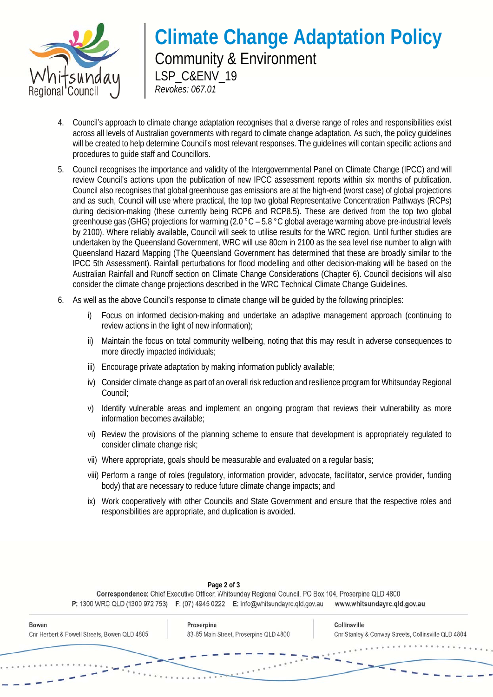

## **Climate Change Adaptation Policy**  Community & Environment LSP\_C&ENV\_19 *Revokes: 067.01*

- 4. Council's approach to climate change adaptation recognises that a diverse range of roles and responsibilities exist across all levels of Australian governments with regard to climate change adaptation. As such, the policy guidelines will be created to help determine Council's most relevant responses. The guidelines will contain specific actions and procedures to guide staff and Councillors.
- 5. Council recognises the importance and validity of the Intergovernmental Panel on Climate Change (IPCC) and will review Council's actions upon the publication of new IPCC assessment reports within six months of publication. Council also recognises that global greenhouse gas emissions are at the high-end (worst case) of global projections and as such, Council will use where practical, the top two global Representative Concentration Pathways (RCPs) during decision-making (these currently being RCP6 and RCP8.5). These are derived from the top two global greenhouse gas (GHG) projections for warming (2.0 °C – 5.8 °C global average warming above pre-industrial levels by 2100). Where reliably available, Council will seek to utilise results for the WRC region. Until further studies are undertaken by the Queensland Government, WRC will use 80cm in 2100 as the sea level rise number to align with Queensland Hazard Mapping (The Queensland Government has determined that these are broadly similar to the IPCC 5th Assessment). Rainfall perturbations for flood modelling and other decision-making will be based on the Australian Rainfall and Runoff section on Climate Change Considerations (Chapter 6). Council decisions will also consider the climate change projections described in the WRC Technical Climate Change Guidelines.
- 6. As well as the above Council's response to climate change will be guided by the following principles:
	- i) Focus on informed decision-making and undertake an adaptive management approach (continuing to review actions in the light of new information);
	- ii) Maintain the focus on total community wellbeing, noting that this may result in adverse consequences to more directly impacted individuals;
	- iii) Encourage private adaptation by making information publicly available;
	- iv) Consider climate change as part of an overall risk reduction and resilience program for Whitsunday Regional Council;
	- v) Identify vulnerable areas and implement an ongoing program that reviews their vulnerability as more information becomes available;
	- vi) Review the provisions of the planning scheme to ensure that development is appropriately regulated to consider climate change risk;
	- vii) Where appropriate, goals should be measurable and evaluated on a regular basis;
	- viii) Perform a range of roles (regulatory, information provider, advocate, facilitator, service provider, funding body) that are necessary to reduce future climate change impacts; and
	- ix) Work cooperatively with other Councils and State Government and ensure that the respective roles and responsibilities are appropriate, and duplication is avoided.

| P: 1300 WRC QLD (1300 972 753) F: (07) 4945 0222 E: info@whitsundayrc.qld.gov.au |                                        |  | www.whitsundayrc.qld.gov.au                         |
|----------------------------------------------------------------------------------|----------------------------------------|--|-----------------------------------------------------|
| <b>Bowen</b>                                                                     | Proserpine                             |  | Collinsville                                        |
| Cnr Herbert & Powell Streets, Bowen QLD 4805                                     | 83-85 Main Street, Proserpine QLD 4800 |  | Cnr Stanley & Conway Streets, Collinsville QLD 4804 |
|                                                                                  |                                        |  | $\sim$ $\sim$ $\sim$ $\sim$ $\sim$ $\sim$ $\sim$    |
|                                                                                  |                                        |  |                                                     |
|                                                                                  |                                        |  |                                                     |

**Page 2 of 3**